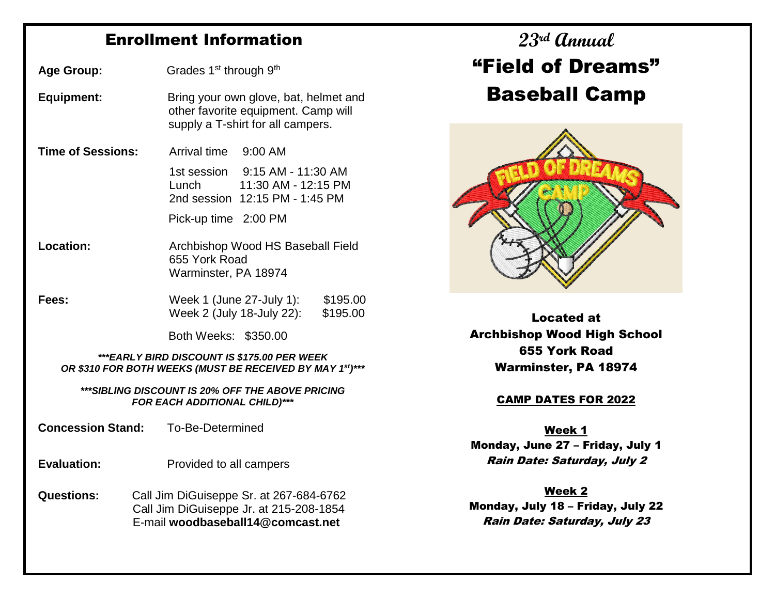## Enrollment Information

Age Group: Grades 1<sup>st</sup> through 9<sup>th</sup> **Equipment:** Bring your own glove, bat, helmet and other favorite equipment. Camp will supply a T-shirt for all campers.  **Time of Sessions:** Arrival time 9:00 AM 1st session 9:15 AM - 11:30 AM Lunch 11:30 AM - 12:15 PM 2nd session 12:15 PM - 1:45 PM Pick-up time 2:00 PM **Location:** Archbishop Wood HS Baseball Field 655 York Road Warminster, PA 18974 **Fees:** Week 1 (June 27-July 1): \$195.00 Week 2 (July 18-July 22): \$195.00 Both Weeks: \$350.00

*\*\*\*EARLY BIRD DISCOUNT IS \$175.00 PER WEEK OR \$310 FOR BOTH WEEKS (MUST BE RECEIVED BY MAY 1st)\*\*\**

*\*\*\*SIBLING DISCOUNT IS 20% OFF THE ABOVE PRICING FOR EACH ADDITIONAL CHILD)\*\*\**

 **Concession Stand:** To-Be-Determined .

- **Evaluation:** Provided to all campers
- **Questions:** Call Jim DiGuiseppe Sr. at 267-684-6762 Call Jim DiGuiseppe Jr. at 215-208-1854 E-mail **woodbaseball14@comcast.net**

# **23rd Annual** "Field of Dreams" Baseball Camp



Located at Archbishop Wood High School 655 York Road Warminster, PA 18974

#### CAMP DATES FOR 2022

Week 1 Monday, June 27 – Friday, July 1 Rain Date: Saturday, July 2

Week 2 Monday, July 18 – Friday, July 22 Rain Date: Saturday, July 23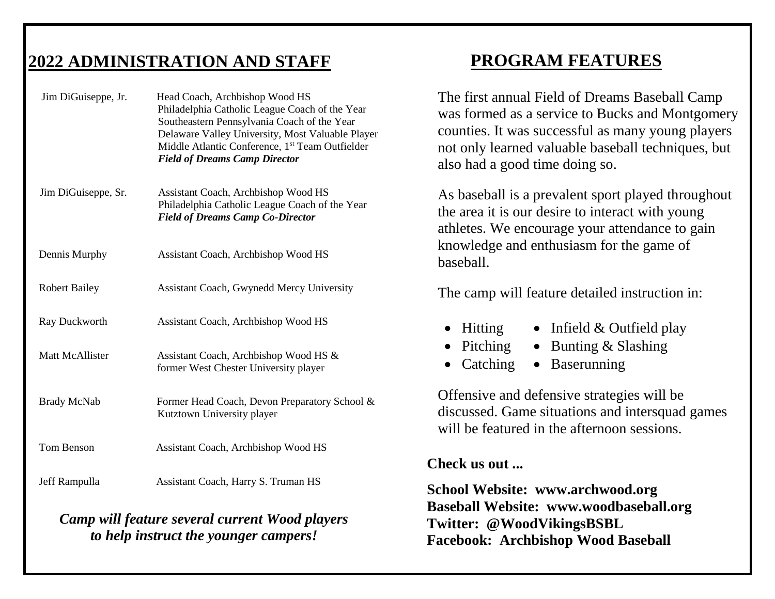#### **2022 ADMINISTRATION AND STAFF** Ī

| Jim DiGuiseppe, Jr.    | Head Coach, Archbishop Wood HS<br>Philadelphia Catholic League Coach of the Year<br>Southeastern Pennsylvania Coach of the Year<br>Delaware Valley University, Most Valuable Player<br>Middle Atlantic Conference, 1 <sup>st</sup> Team Outfielder<br><b>Field of Dreams Camp Director</b> |
|------------------------|--------------------------------------------------------------------------------------------------------------------------------------------------------------------------------------------------------------------------------------------------------------------------------------------|
| Jim DiGuiseppe, Sr.    | Assistant Coach, Archbishop Wood HS<br>Philadelphia Catholic League Coach of the Year<br><b>Field of Dreams Camp Co-Director</b>                                                                                                                                                           |
| Dennis Murphy          | Assistant Coach, Archbishop Wood HS                                                                                                                                                                                                                                                        |
| <b>Robert Bailey</b>   | <b>Assistant Coach, Gwynedd Mercy University</b>                                                                                                                                                                                                                                           |
| Ray Duckworth          | Assistant Coach, Archbishop Wood HS                                                                                                                                                                                                                                                        |
| <b>Matt McAllister</b> | Assistant Coach, Archbishop Wood HS &<br>former West Chester University player                                                                                                                                                                                                             |
| <b>Brady McNab</b>     | Former Head Coach, Devon Preparatory School &<br>Kutztown University player                                                                                                                                                                                                                |
| <b>Tom Benson</b>      | Assistant Coach, Archbishop Wood HS                                                                                                                                                                                                                                                        |
| Jeff Rampulla          | Assistant Coach, Harry S. Truman HS                                                                                                                                                                                                                                                        |
|                        |                                                                                                                                                                                                                                                                                            |

## *Camp will feature several current Wood players to help instruct the younger campers!*

## **PROGRAM FEATURES**

The first annual Field of Dreams Baseball Camp was formed as a service to Bucks and Montgomery counties. It was successful as many young players not only learned valuable baseball techniques, but also had a good time doing so.

As baseball is a prevalent sport played throughout the area it is our desire to interact with young athletes. We encourage your attendance to gain knowledge and enthusiasm for the game of baseball.

The camp will feature detailed instruction in:

- Hitting • Infield & Outfield play
- Pitching  $\bullet$  Bunting & Slashing
- Catching • Baserunning

Offensive and defensive strategies will be discussed. Game situations and intersquad games will be featured in the afternoon sessions.

### **Check us out ...**

 **School Website: www.archwood.org Baseball Website: www.woodbaseball.org Twitter: @WoodVikingsBSBL Facebook: Archbishop Wood Baseball**